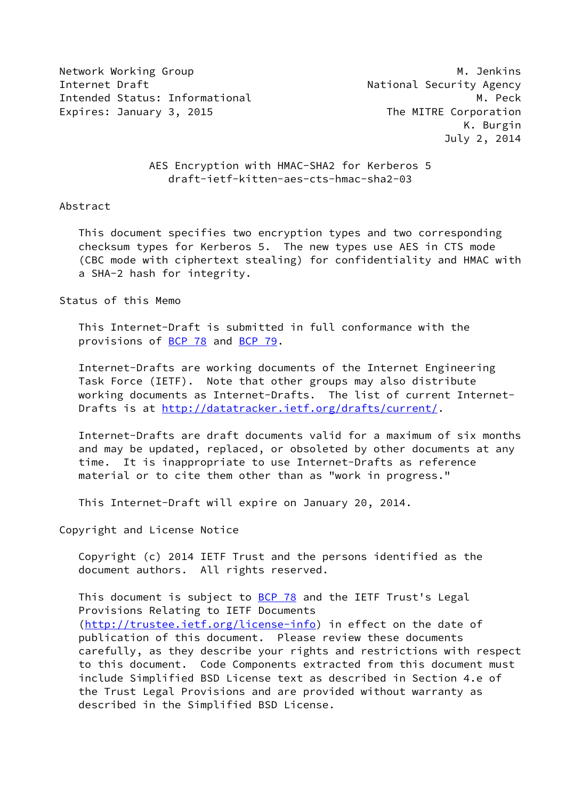Network Working Group Manuscript Communication of the Muslim Manuscript Manuscript Manuscript Manuscript Manusc Internet Draft **National Security Agency** Intended Status: Informational M. Peck Expires: January 3, 2015 The MITRE Corporation

 K. Burgin July 2, 2014

# AES Encryption with HMAC-SHA2 for Kerberos 5 draft-ietf-kitten-aes-cts-hmac-sha2-03

### Abstract

 This document specifies two encryption types and two corresponding checksum types for Kerberos 5. The new types use AES in CTS mode (CBC mode with ciphertext stealing) for confidentiality and HMAC with a SHA-2 hash for integrity.

Status of this Memo

 This Internet-Draft is submitted in full conformance with the provisions of [BCP 78](https://datatracker.ietf.org/doc/pdf/bcp78) and [BCP 79](https://datatracker.ietf.org/doc/pdf/bcp79).

 Internet-Drafts are working documents of the Internet Engineering Task Force (IETF). Note that other groups may also distribute working documents as Internet-Drafts. The list of current Internet- Drafts is at<http://datatracker.ietf.org/drafts/current/>.

 Internet-Drafts are draft documents valid for a maximum of six months and may be updated, replaced, or obsoleted by other documents at any time. It is inappropriate to use Internet-Drafts as reference material or to cite them other than as "work in progress."

This Internet-Draft will expire on January 20, 2014.

Copyright and License Notice

 Copyright (c) 2014 IETF Trust and the persons identified as the document authors. All rights reserved.

This document is subject to **[BCP 78](https://datatracker.ietf.org/doc/pdf/bcp78)** and the IETF Trust's Legal Provisions Relating to IETF Documents [\(http://trustee.ietf.org/license-info](http://trustee.ietf.org/license-info)) in effect on the date of publication of this document. Please review these documents carefully, as they describe your rights and restrictions with respect to this document. Code Components extracted from this document must include Simplified BSD License text as described in Section 4.e of the Trust Legal Provisions and are provided without warranty as described in the Simplified BSD License.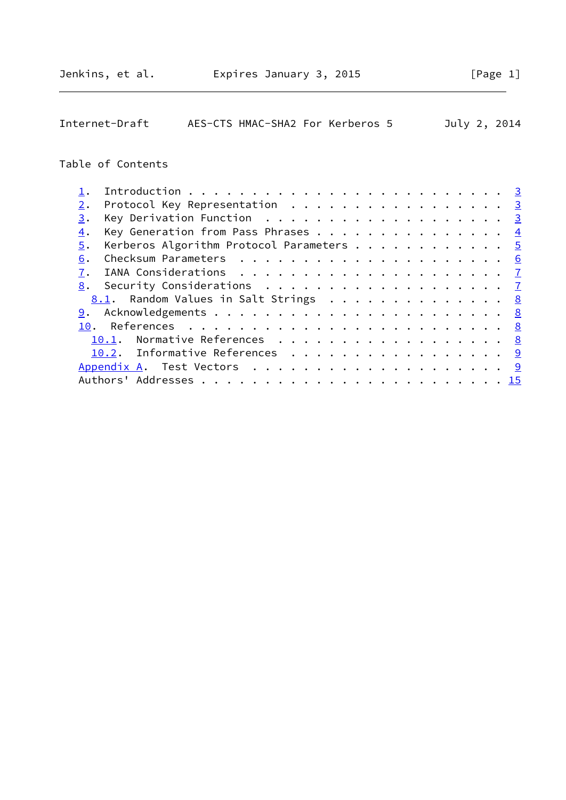| Internet-Draft                                                            | AES-CTS HMAC-SHA2 For Kerberos 5 |  |  |  |  |  |  |  | July 2, 2014 |                |
|---------------------------------------------------------------------------|----------------------------------|--|--|--|--|--|--|--|--------------|----------------|
| Table of Contents                                                         |                                  |  |  |  |  |  |  |  |              |                |
|                                                                           |                                  |  |  |  |  |  |  |  |              | $\frac{3}{2}$  |
| Protocol Key Representation<br>2.                                         |                                  |  |  |  |  |  |  |  |              | $\overline{3}$ |
| 3.                                                                        |                                  |  |  |  |  |  |  |  |              | $\overline{3}$ |
| Key Generation from Pass Phrases<br>$\overline{4}$ .                      |                                  |  |  |  |  |  |  |  |              | $\overline{4}$ |
| Kerberos Algorithm Protocol Parameters<br>5.                              |                                  |  |  |  |  |  |  |  |              | $\sqrt{5}$     |
| 6.                                                                        |                                  |  |  |  |  |  |  |  |              | 6              |
| 7.                                                                        |                                  |  |  |  |  |  |  |  |              | $\mathbf{Z}$   |
| Security Considerations $\ldots \ldots \ldots \ldots \ldots \ldots$<br>8. |                                  |  |  |  |  |  |  |  |              |                |
| <u>8.1</u> . Random Values in Salt Strings                                |                                  |  |  |  |  |  |  |  |              | 8              |
| 9.                                                                        |                                  |  |  |  |  |  |  |  |              |                |
| References<br>10.                                                         |                                  |  |  |  |  |  |  |  |              | 8              |
| 10.1.                                                                     | Normative References             |  |  |  |  |  |  |  |              | 8              |
| 10.2. Informative References                                              |                                  |  |  |  |  |  |  |  |              | 9              |

 [Appendix A](#page-9-2). Test Vectors . . . . . . . . . . . . . . . . . . . . [9](#page-9-1) Authors' Addresses . . . . . . . . . . . . . . . . . . . . . . . . [15](#page-15-0)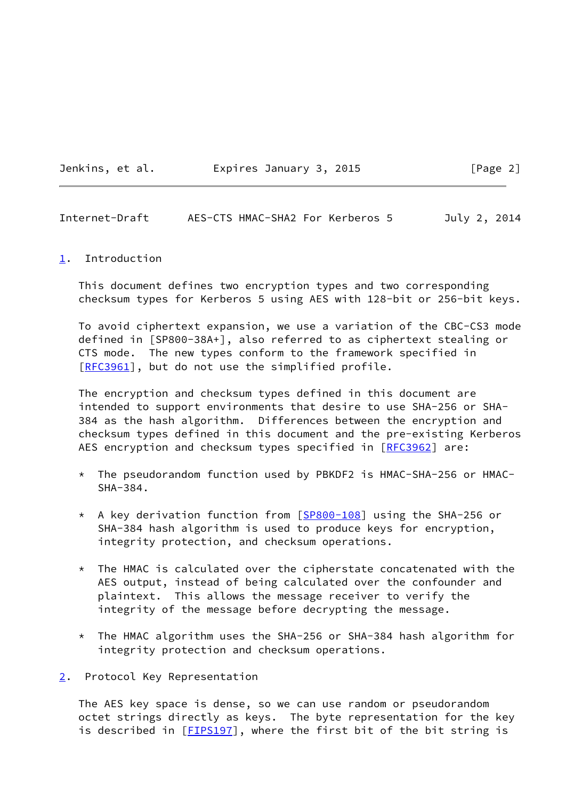Jenkins, et al. Expires January 3, 2015 [Page 2]

<span id="page-2-1"></span>Internet-Draft AES-CTS HMAC-SHA2 For Kerberos 5 July 2, 2014

#### <span id="page-2-0"></span>[1](#page-2-0). Introduction

 This document defines two encryption types and two corresponding checksum types for Kerberos 5 using AES with 128-bit or 256-bit keys.

 To avoid ciphertext expansion, we use a variation of the CBC-CS3 mode defined in [SP800-38A+], also referred to as ciphertext stealing or CTS mode. The new types conform to the framework specified in [\[RFC3961](https://datatracker.ietf.org/doc/pdf/rfc3961)], but do not use the simplified profile.

 The encryption and checksum types defined in this document are intended to support environments that desire to use SHA-256 or SHA- 384 as the hash algorithm. Differences between the encryption and checksum types defined in this document and the pre-existing Kerberos AES encryption and checksum types specified in [\[RFC3962](https://datatracker.ietf.org/doc/pdf/rfc3962)] are:

- \* The pseudorandom function used by PBKDF2 is HMAC-SHA-256 or HMAC- SHA-384.
- \* A key derivation function from [[SP800-108\]](#page-9-3) using the SHA-256 or SHA-384 hash algorithm is used to produce keys for encryption, integrity protection, and checksum operations.
- $*$  The HMAC is calculated over the cipherstate concatenated with the AES output, instead of being calculated over the confounder and plaintext. This allows the message receiver to verify the integrity of the message before decrypting the message.
- \* The HMAC algorithm uses the SHA-256 or SHA-384 hash algorithm for integrity protection and checksum operations.

### <span id="page-2-2"></span>[2](#page-2-2). Protocol Key Representation

 The AES key space is dense, so we can use random or pseudorandom octet strings directly as keys. The byte representation for the key is described in [\[FIPS197](#page-8-4)], where the first bit of the bit string is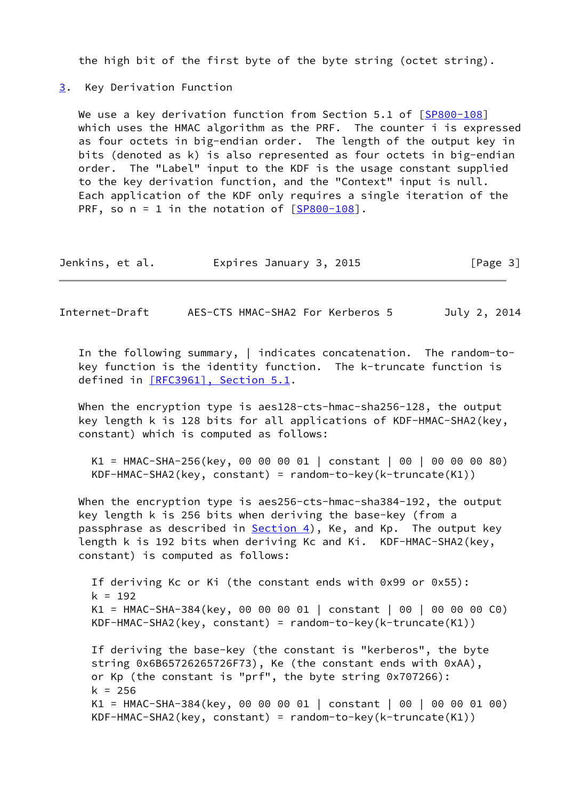the high bit of the first byte of the byte string (octet string).

# <span id="page-3-0"></span>[3](#page-3-0). Key Derivation Function

We use a key derivation function from Section 5.1 of [\[SP800-108\]](#page-9-3) which uses the HMAC algorithm as the PRF. The counter i is expressed as four octets in big-endian order. The length of the output key in bits (denoted as k) is also represented as four octets in big-endian order. The "Label" input to the KDF is the usage constant supplied to the key derivation function, and the "Context" input is null. Each application of the KDF only requires a single iteration of the PRF, so  $n = 1$  in the notation of  $[SP800-108]$ .

| Jenkins, et al. | Expires January 3, 2015 | [Page 3] |
|-----------------|-------------------------|----------|
|-----------------|-------------------------|----------|

<span id="page-3-1"></span>Internet-Draft AES-CTS HMAC-SHA2 For Kerberos 5 July 2, 2014

 In the following summary, | indicates concatenation. The random-to key function is the identity function. The k-truncate function is defined in [\[RFC3961\], Section](https://datatracker.ietf.org/doc/pdf/rfc3961#section-5.1) 5.1.

When the encryption type is aes128-cts-hmac-sha256-128, the output key length k is 128 bits for all applications of KDF-HMAC-SHA2(key, constant) which is computed as follows:

 K1 = HMAC-SHA-256(key, 00 00 00 01 | constant | 00 | 00 00 00 80) KDF-HMAC-SHA2(key, constant) = random-to-key(k-truncate(K1))

 When the encryption type is aes256-cts-hmac-sha384-192, the output key length k is 256 bits when deriving the base-key (from a passphrase as described in  $Section 4$ , Ke, and Kp. The output key length k is 192 bits when deriving Kc and Ki. KDF-HMAC-SHA2(key, constant) is computed as follows:

 If deriving Kc or Ki (the constant ends with 0x99 or 0x55):  $k = 192$  K1 = HMAC-SHA-384(key, 00 00 00 01 | constant | 00 | 00 00 00 C0) KDF-HMAC-SHA2(key, constant) = random-to-key(k-truncate(K1))

 If deriving the base-key (the constant is "kerberos", the byte string 0x6B65726265726F73), Ke (the constant ends with 0xAA), or Kp (the constant is "prf", the byte string 0x707266):  $k = 256$  K1 = HMAC-SHA-384(key, 00 00 00 01 | constant | 00 | 00 00 01 00) KDF-HMAC-SHA2(key, constant) = random-to-key(k-truncate(K1))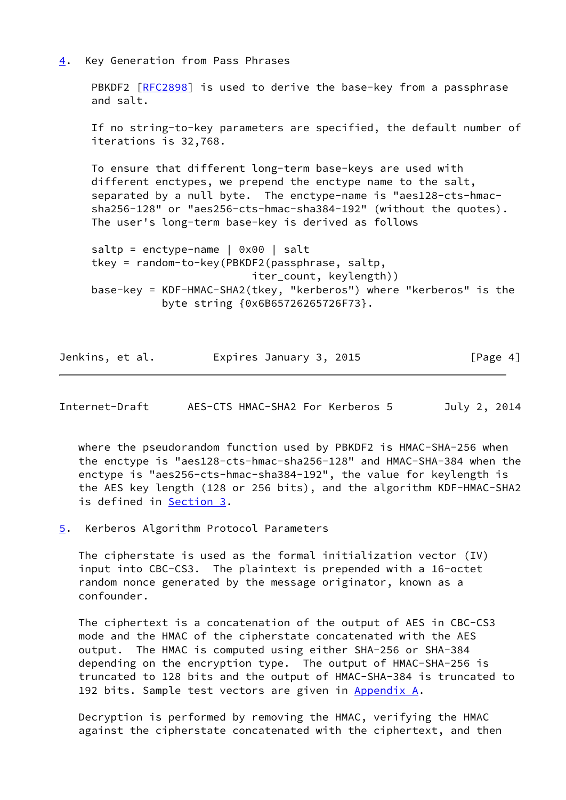<span id="page-4-0"></span>[4](#page-4-0). Key Generation from Pass Phrases

 PBKDF2 [\[RFC2898](https://datatracker.ietf.org/doc/pdf/rfc2898)] is used to derive the base-key from a passphrase and salt.

 If no string-to-key parameters are specified, the default number of iterations is 32,768.

 To ensure that different long-term base-keys are used with different enctypes, we prepend the enctype name to the salt, separated by a null byte. The enctype-name is "aes128-cts-hmac sha256-128" or "aes256-cts-hmac-sha384-192" (without the quotes). The user's long-term base-key is derived as follows

```
saltp = enctype-name \vert 0x00 \vert salt
 tkey = random-to-key(PBKDF2(passphrase, saltp,
                           iter_count, keylength))
 base-key = KDF-HMAC-SHA2(tkey, "kerberos") where "kerberos" is the
            byte string {0x6B65726265726F73}.
```

| Jenkins, et al. | Expires January 3, 2015 | [Page 4] |
|-----------------|-------------------------|----------|
|-----------------|-------------------------|----------|

<span id="page-4-2"></span>Internet-Draft AES-CTS HMAC-SHA2 For Kerberos 5 July 2, 2014

 where the pseudorandom function used by PBKDF2 is HMAC-SHA-256 when the enctype is "aes128-cts-hmac-sha256-128" and HMAC-SHA-384 when the enctype is "aes256-cts-hmac-sha384-192", the value for keylength is the AES key length (128 or 256 bits), and the algorithm KDF-HMAC-SHA2 is defined in [Section 3.](#page-3-0)

<span id="page-4-1"></span>[5](#page-4-1). Kerberos Algorithm Protocol Parameters

 The cipherstate is used as the formal initialization vector (IV) input into CBC-CS3. The plaintext is prepended with a 16-octet random nonce generated by the message originator, known as a confounder.

 The ciphertext is a concatenation of the output of AES in CBC-CS3 mode and the HMAC of the cipherstate concatenated with the AES output. The HMAC is computed using either SHA-256 or SHA-384 depending on the encryption type. The output of HMAC-SHA-256 is truncated to 128 bits and the output of HMAC-SHA-384 is truncated to 192 bits. Sample test vectors are given in [Appendix A.](#page-9-2)

 Decryption is performed by removing the HMAC, verifying the HMAC against the cipherstate concatenated with the ciphertext, and then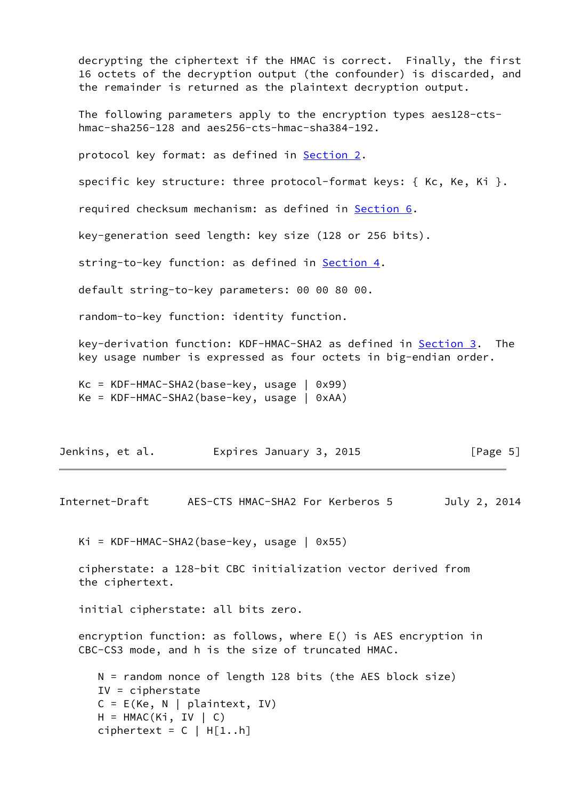decrypting the ciphertext if the HMAC is correct. Finally, the first 16 octets of the decryption output (the confounder) is discarded, and the remainder is returned as the plaintext decryption output.

 The following parameters apply to the encryption types aes128-cts hmac-sha256-128 and aes256-cts-hmac-sha384-192.

protocol key format: as defined in [Section 2.](#page-2-2)

specific key structure: three protocol-format keys: { Kc, Ke, Ki }.

required checksum mechanism: as defined in **Section 6**.

key-generation seed length: key size (128 or 256 bits).

string-to-key function: as defined in [Section 4.](#page-4-0)

default string-to-key parameters: 00 00 80 00.

random-to-key function: identity function.

 key-derivation function: KDF-HMAC-SHA2 as defined in [Section 3](#page-3-0). The key usage number is expressed as four octets in big-endian order.

 Kc = KDF-HMAC-SHA2(base-key, usage | 0x99) Ke = KDF-HMAC-SHA2(base-key, usage | 0xAA)

| Jenkins, et al. |  | Expires January 3, 2015 | [Page 5] |
|-----------------|--|-------------------------|----------|
|-----------------|--|-------------------------|----------|

<span id="page-5-0"></span>Internet-Draft AES-CTS HMAC-SHA2 For Kerberos 5 July 2, 2014

Ki = KDF-HMAC-SHA2(base-key, usage | 0x55)

 cipherstate: a 128-bit CBC initialization vector derived from the ciphertext.

initial cipherstate: all bits zero.

 encryption function: as follows, where E() is AES encryption in CBC-CS3 mode, and h is the size of truncated HMAC.

 N = random nonce of length 128 bits (the AES block size) IV = cipherstate  $C = E(Ke, N | plaintext, IV)$  $H = HMAC(Ki, IV \mid C)$ ciphertext =  $C$  | H[1..h]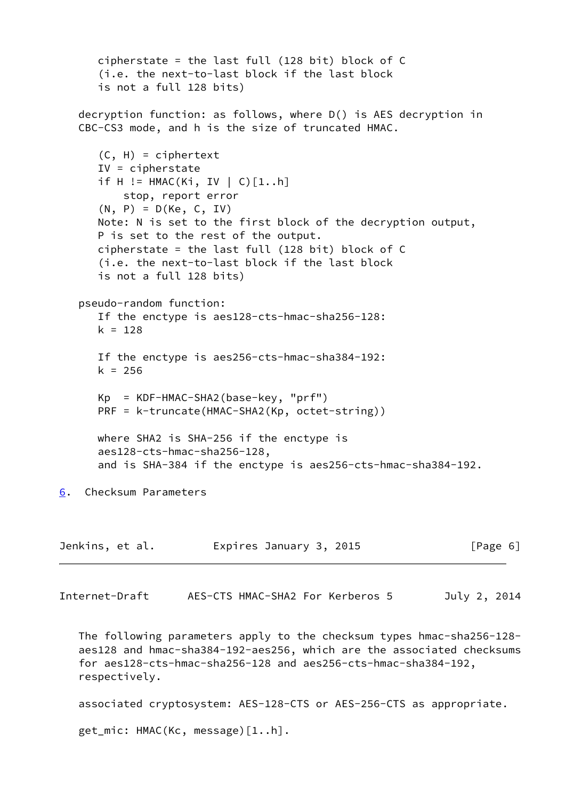```
 cipherstate = the last full (128 bit) block of C
       (i.e. the next-to-last block if the last block
       is not a full 128 bits)
    decryption function: as follows, where D() is AES decryption in
    CBC-CS3 mode, and h is the size of truncated HMAC.
      (C, H) = ciphertext IV = cipherstate
       if H != HMAC(Ki, IV | C)[1..h]
           stop, report error
      (N, P) = D(Ke, C, IV) Note: N is set to the first block of the decryption output,
       P is set to the rest of the output.
       cipherstate = the last full (128 bit) block of C
       (i.e. the next-to-last block if the last block
       is not a full 128 bits)
    pseudo-random function:
       If the enctype is aes128-cts-hmac-sha256-128:
      k = 128 If the enctype is aes256-cts-hmac-sha384-192:
      k = 256 Kp = KDF-HMAC-SHA2(base-key, "prf")
      PRF = k-truncate(HMAC-SHA2(Kp, octet-string))
      where SHA2 is SHA-256 if the enctype is
       aes128-cts-hmac-sha256-128,
       and is SHA-384 if the enctype is aes256-cts-hmac-sha384-192.
6. Checksum Parameters
Jenkins, et al. Expires January 3, 2015 [Page 6]
Internet-Draft AES-CTS HMAC-SHA2 For Kerberos 5 July 2, 2014
    The following parameters apply to the checksum types hmac-sha256-128-
    aes128 and hmac-sha384-192-aes256, which are the associated checksums
    for aes128-cts-hmac-sha256-128 and aes256-cts-hmac-sha384-192,
    respectively.
    associated cryptosystem: AES-128-CTS or AES-256-CTS as appropriate.
    get_mic: HMAC(Kc, message)[1..h].
```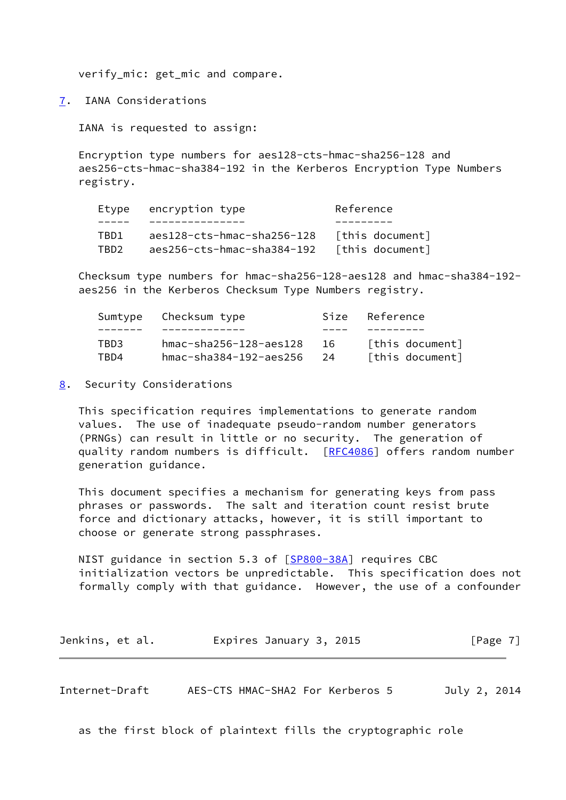verify\_mic: get\_mic and compare.

<span id="page-7-0"></span>[7](#page-7-0). IANA Considerations

IANA is requested to assign:

 Encryption type numbers for aes128-cts-hmac-sha256-128 and aes256-cts-hmac-sha384-192 in the Kerberos Encryption Type Numbers registry.

|       | Etype encryption type      | Reference       |  |  |  |
|-------|----------------------------|-----------------|--|--|--|
|       |                            |                 |  |  |  |
| TRD1. | aes128-cts-hmac-sha256-128 | [this document] |  |  |  |
| TRD2. | aes256-cts-hmac-sha384-192 | [this document] |  |  |  |

 Checksum type numbers for hmac-sha256-128-aes128 and hmac-sha384-192 aes256 in the Kerberos Checksum Type Numbers registry.

|      | Sumtype Checksum type             |      | Size Reference  |
|------|-----------------------------------|------|-----------------|
|      |                                   |      |                 |
| TBD3 | hmac-sha256-128-aes128            | - 16 | [this document] |
| TRD4 | $hmac - sha384 - 192 - aes256$ 24 |      | [this document] |

<span id="page-7-1"></span>[8](#page-7-1). Security Considerations

 This specification requires implementations to generate random values. The use of inadequate pseudo-random number generators (PRNGs) can result in little or no security. The generation of quality random numbers is difficult. [[RFC4086](https://datatracker.ietf.org/doc/pdf/rfc4086)] offers random number generation guidance.

 This document specifies a mechanism for generating keys from pass phrases or passwords. The salt and iteration count resist brute force and dictionary attacks, however, it is still important to choose or generate strong passphrases.

 NIST guidance in section 5.3 of [\[SP800-38A](#page-9-4)] requires CBC initialization vectors be unpredictable. This specification does not formally comply with that guidance. However, the use of a confounder

| Jenkins, et al. | Expires January 3, 2015 | [Page 7] |
|-----------------|-------------------------|----------|
|-----------------|-------------------------|----------|

<span id="page-7-2"></span>Internet-Draft AES-CTS HMAC-SHA2 For Kerberos 5 July 2, 2014

as the first block of plaintext fills the cryptographic role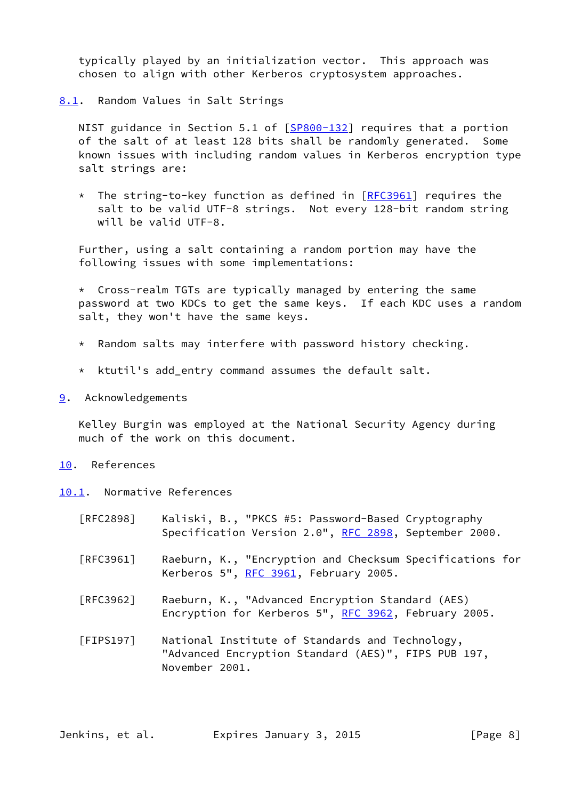typically played by an initialization vector. This approach was chosen to align with other Kerberos cryptosystem approaches.

<span id="page-8-0"></span>[8.1](#page-8-0). Random Values in Salt Strings

NIST guidance in Section 5.1 of [\[SP800-132](#page-9-5)] requires that a portion of the salt of at least 128 bits shall be randomly generated. Some known issues with including random values in Kerberos encryption type salt strings are:

\* The string-to-key function as defined in [\[RFC3961](https://datatracker.ietf.org/doc/pdf/rfc3961)] requires the salt to be valid UTF-8 strings. Not every 128-bit random string will be valid UTF-8.

 Further, using a salt containing a random portion may have the following issues with some implementations:

 $*$  Cross-realm TGTs are typically managed by entering the same password at two KDCs to get the same keys. If each KDC uses a random salt, they won't have the same keys.

- \* Random salts may interfere with password history checking.
- \* ktutil's add\_entry command assumes the default salt.
- <span id="page-8-1"></span>[9](#page-8-1). Acknowledgements

 Kelley Burgin was employed at the National Security Agency during much of the work on this document.

- <span id="page-8-2"></span>[10.](#page-8-2) References
- <span id="page-8-3"></span>[10.1](#page-8-3). Normative References
	- [RFC2898] Kaliski, B., "PKCS #5: Password-Based Cryptography Specification Version 2.0", [RFC 2898](https://datatracker.ietf.org/doc/pdf/rfc2898), September 2000.
	- [RFC3961] Raeburn, K., "Encryption and Checksum Specifications for Kerberos 5", [RFC 3961](https://datatracker.ietf.org/doc/pdf/rfc3961), February 2005.
	- [RFC3962] Raeburn, K., "Advanced Encryption Standard (AES) Encryption for Kerberos 5", [RFC 3962](https://datatracker.ietf.org/doc/pdf/rfc3962), February 2005.

<span id="page-8-4"></span> [FIPS197] National Institute of Standards and Technology, "Advanced Encryption Standard (AES)", FIPS PUB 197, November 2001.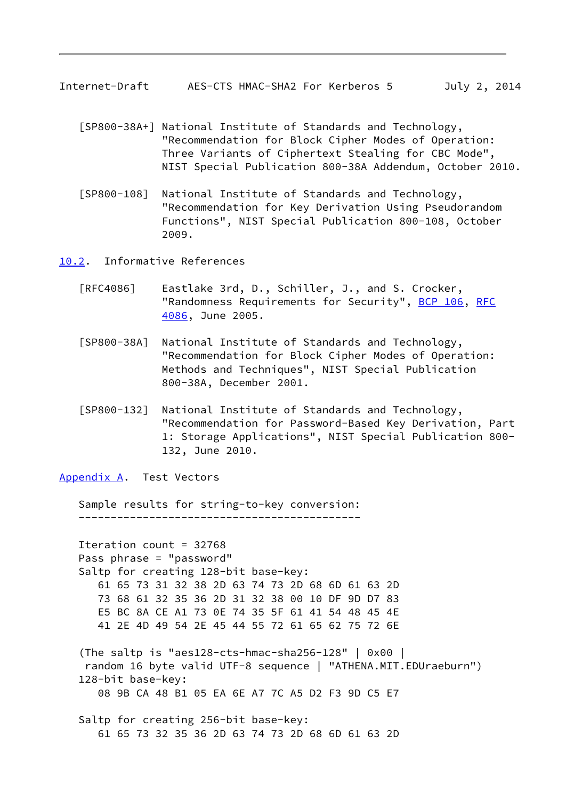- <span id="page-9-1"></span> [SP800-38A+] National Institute of Standards and Technology, "Recommendation for Block Cipher Modes of Operation: Three Variants of Ciphertext Stealing for CBC Mode", NIST Special Publication 800-38A Addendum, October 2010.
- <span id="page-9-3"></span> [SP800-108] National Institute of Standards and Technology, "Recommendation for Key Derivation Using Pseudorandom Functions", NIST Special Publication 800-108, October 2009.

<span id="page-9-0"></span>[10.2](#page-9-0). Informative References

- [RFC4086] Eastlake 3rd, D., Schiller, J., and S. Crocker, "Randomness Requirements for Security", [BCP 106](https://datatracker.ietf.org/doc/pdf/bcp106), [RFC](https://datatracker.ietf.org/doc/pdf/rfc4086) [4086](https://datatracker.ietf.org/doc/pdf/rfc4086), June 2005.
- <span id="page-9-4"></span> [SP800-38A] National Institute of Standards and Technology, "Recommendation for Block Cipher Modes of Operation: Methods and Techniques", NIST Special Publication 800-38A, December 2001.
- <span id="page-9-5"></span> [SP800-132] National Institute of Standards and Technology, "Recommendation for Password-Based Key Derivation, Part 1: Storage Applications", NIST Special Publication 800- 132, June 2010.

<span id="page-9-2"></span>[Appendix A.](#page-9-2) Test Vectors

Sample results for string-to-key conversion:

--------------------------------------------

 Iteration count = 32768 Pass phrase = "password" Saltp for creating 128-bit base-key: 61 65 73 31 32 38 2D 63 74 73 2D 68 6D 61 63 2D 73 68 61 32 35 36 2D 31 32 38 00 10 DF 9D D7 83 E5 BC 8A CE A1 73 0E 74 35 5F 61 41 54 48 45 4E 41 2E 4D 49 54 2E 45 44 55 72 61 65 62 75 72 6E

```
 (The saltp is "aes128-cts-hmac-sha256-128" | 0x00 |
  random 16 byte valid UTF-8 sequence | "ATHENA.MIT.EDUraeburn")
 128-bit base-key:
    08 9B CA 48 B1 05 EA 6E A7 7C A5 D2 F3 9D C5 E7
```
 Saltp for creating 256-bit base-key: 61 65 73 32 35 36 2D 63 74 73 2D 68 6D 61 63 2D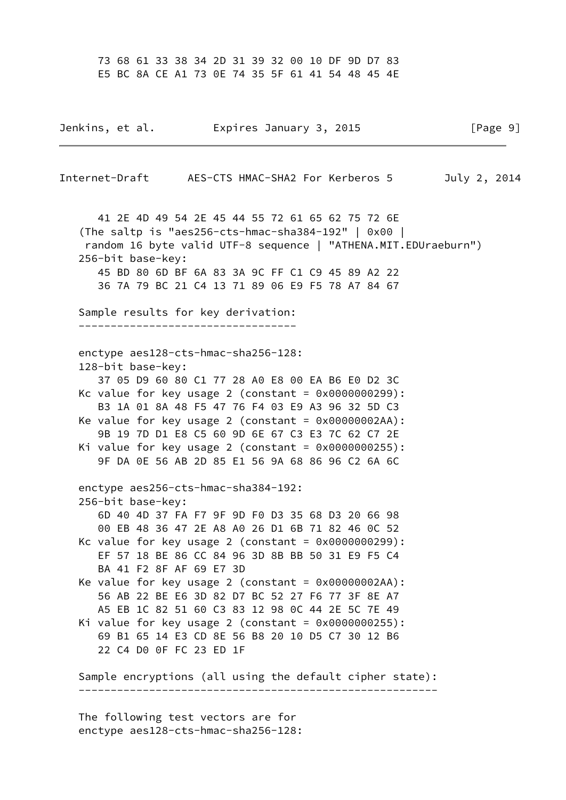73 68 61 33 38 34 2D 31 39 32 00 10 DF 9D D7 83 E5 BC 8A CE A1 73 0E 74 35 5F 61 41 54 48 45 4E

Jenkins, et al. Expires January 3, 2015 [Page 9] Internet-Draft AES-CTS HMAC-SHA2 For Kerberos 5 July 2, 2014 41 2E 4D 49 54 2E 45 44 55 72 61 65 62 75 72 6E (The saltp is "aes256-cts-hmac-sha384-192" | 0x00 | random 16 byte valid UTF-8 sequence | "ATHENA.MIT.EDUraeburn") 256-bit base-key: 45 BD 80 6D BF 6A 83 3A 9C FF C1 C9 45 89 A2 22 36 7A 79 BC 21 C4 13 71 89 06 E9 F5 78 A7 84 67 Sample results for key derivation: --------------------------------- enctype aes128-cts-hmac-sha256-128: 128-bit base-key: 37 05 D9 60 80 C1 77 28 A0 E8 00 EA B6 E0 D2 3C Kc value for key usage 2 (constant =  $0 \times 00000000299$ ): B3 1A 01 8A 48 F5 47 76 F4 03 E9 A3 96 32 5D C3 Ke value for key usage 2 (constant =  $0 \times 000000002$ AA): 9B 19 7D D1 E8 C5 60 9D 6E 67 C3 E3 7C 62 C7 2E Ki value for key usage 2 (constant =  $0 \times 00000000255$ ): 9F DA 0E 56 AB 2D 85 E1 56 9A 68 86 96 C2 6A 6C enctype aes256-cts-hmac-sha384-192: 256-bit base-key: 6D 40 4D 37 FA F7 9F 9D F0 D3 35 68 D3 20 66 98 00 EB 48 36 47 2E A8 A0 26 D1 6B 71 82 46 0C 52 Kc value for key usage 2 (constant =  $0 \times 00000000299$ ): EF 57 18 BE 86 CC 84 96 3D 8B BB 50 31 E9 F5 C4 BA 41 F2 8F AF 69 E7 3D Ke value for key usage 2 (constant =  $0 \times 000000002$ AA): 56 AB 22 BE E6 3D 82 D7 BC 52 27 F6 77 3F 8E A7 A5 EB 1C 82 51 60 C3 83 12 98 0C 44 2E 5C 7E 49 Ki value for key usage 2 (constant =  $0 \times 00000000255$ ): 69 B1 65 14 E3 CD 8E 56 B8 20 10 D5 C7 30 12 B6 22 C4 D0 0F FC 23 ED 1F Sample encryptions (all using the default cipher state): --------------------------------------------------------

 The following test vectors are for enctype aes128-cts-hmac-sha256-128: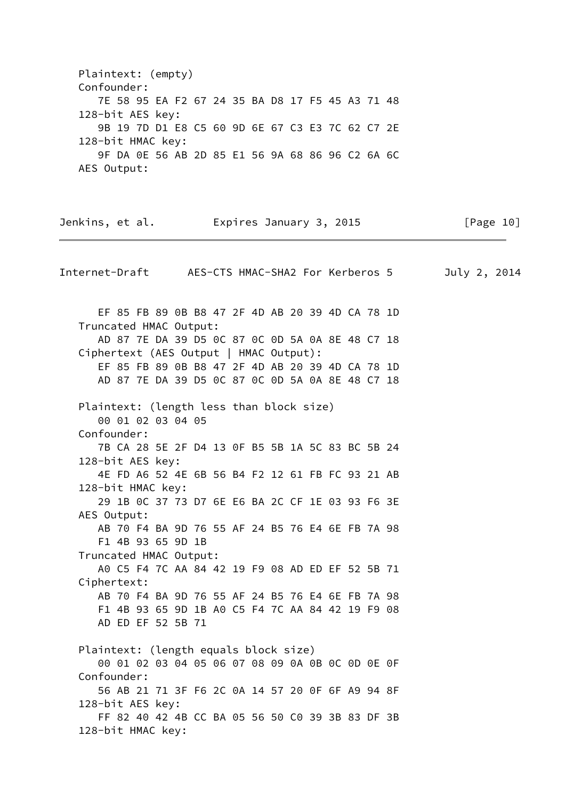Plaintext: (empty) Confounder: 7E 58 95 EA F2 67 24 35 BA D8 17 F5 45 A3 71 48 128-bit AES key: 9B 19 7D D1 E8 C5 60 9D 6E 67 C3 E3 7C 62 C7 2E 128-bit HMAC key: 9F DA 0E 56 AB 2D 85 E1 56 9A 68 86 96 C2 6A 6C AES Output:

| Jenkins, et al.                                                                          |  | Expires January 3, 2015 | [Page $10$ ] |
|------------------------------------------------------------------------------------------|--|-------------------------|--------------|
| Internet-Draft AES-CTS HMAC-SHA2 For Kerberos 5                                          |  |                         | July 2, 2014 |
| EF 85 FB 89 0B B8 47 2F 4D AB 20 39 4D CA 78 1D                                          |  |                         |              |
| Truncated HMAC Output:<br>AD 87 7E DA 39 D5 0C 87 0C 0D 5A 0A 8E 48 C7 18                |  |                         |              |
| Ciphertext (AES Output   HMAC Output):                                                   |  |                         |              |
| EF 85 FB 89 0B B8 47 2F 4D AB 20 39 4D CA 78 1D                                          |  |                         |              |
| AD 87 7E DA 39 D5 0C 87 0C 0D 5A 0A 8E 48 C7 18                                          |  |                         |              |
|                                                                                          |  |                         |              |
| Plaintext: (length less than block size)                                                 |  |                         |              |
| 00 01 02 03 04 05                                                                        |  |                         |              |
| Confounder:                                                                              |  |                         |              |
| 7B CA 28 5E 2F D4 13 0F B5 5B 1A 5C 83 BC 5B 24                                          |  |                         |              |
| 128-bit AES key:                                                                         |  |                         |              |
| 4E FD A6 52 4E 6B 56 B4 F2 12 61 FB FC 93 21 AB                                          |  |                         |              |
| 128-bit HMAC key:                                                                        |  |                         |              |
| 29 1B 0C 37 73 D7 6E E6 BA 2C CF 1E 03 93 F6 3E                                          |  |                         |              |
| AES Output:                                                                              |  |                         |              |
| AB 70 F4 BA 9D 76 55 AF 24 B5 76 E4 6E FB 7A 98                                          |  |                         |              |
| F1 4B 93 65 9D 1B                                                                        |  |                         |              |
| Truncated HMAC Output:                                                                   |  |                         |              |
| A0 C5 F4 7C AA 84 42 19 F9 08 AD ED EF 52 5B 71                                          |  |                         |              |
| Ciphertext:<br>AB 70 F4 BA 9D 76 55 AF 24 B5 76 E4 6E FB 7A 98                           |  |                         |              |
| F1 4B 93 65 9D 1B A0 C5 F4 7C AA 84 42 19 F9 08                                          |  |                         |              |
| AD ED EF 52 5B 71                                                                        |  |                         |              |
|                                                                                          |  |                         |              |
| Plaintext: (length equals block size)<br>00 01 02 03 04 05 06 07 08 09 0A 0B 0C 0D 0E 0F |  |                         |              |
| Confounder:                                                                              |  |                         |              |
| 56 AB 21 71 3F F6 2C 0A 14 57 20 0F 6F A9 94 8F                                          |  |                         |              |
| 128-bit AES key:                                                                         |  |                         |              |
| FF 82 40 42 4B CC BA 05 56 50 C0 39 3B 83 DF 3B                                          |  |                         |              |
| 128-bit HMAC key:                                                                        |  |                         |              |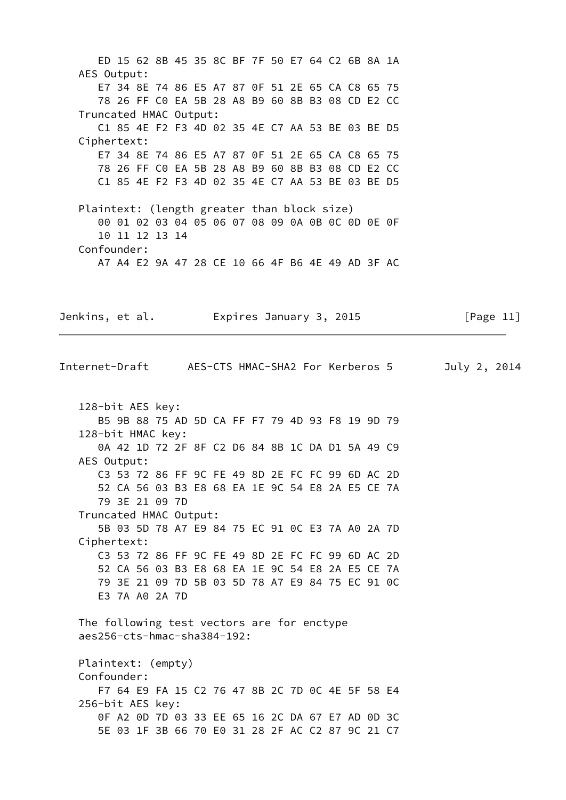ED 15 62 8B 45 35 8C BF 7F 50 E7 64 C2 6B 8A 1A AES Output: E7 34 8E 74 86 E5 A7 87 0F 51 2E 65 CA C8 65 75 78 26 FF C0 EA 5B 28 A8 B9 60 8B B3 08 CD E2 CC Truncated HMAC Output: C1 85 4E F2 F3 4D 02 35 4E C7 AA 53 BE 03 BE D5 Ciphertext: E7 34 8E 74 86 E5 A7 87 0F 51 2E 65 CA C8 65 75 78 26 FF C0 EA 5B 28 A8 B9 60 8B B3 08 CD E2 CC C1 85 4E F2 F3 4D 02 35 4E C7 AA 53 BE 03 BE D5 Plaintext: (length greater than block size) 00 01 02 03 04 05 06 07 08 09 0A 0B 0C 0D 0E 0F 10 11 12 13 14 Confounder: A7 A4 E2 9A 47 28 CE 10 66 4F B6 4E 49 AD 3F AC Jenkins, et al. **Expires January 3, 2015** [Page 11] Internet-Draft AES-CTS HMAC-SHA2 For Kerberos 5 July 2, 2014 128-bit AES key: B5 9B 88 75 AD 5D CA FF F7 79 4D 93 F8 19 9D 79 128-bit HMAC key: 0A 42 1D 72 2F 8F C2 D6 84 8B 1C DA D1 5A 49 C9 AES Output: C3 53 72 86 FF 9C FE 49 8D 2E FC FC 99 6D AC 2D 52 CA 56 03 B3 E8 68 EA 1E 9C 54 E8 2A E5 CE 7A 79 3E 21 09 7D Truncated HMAC Output: 5B 03 5D 78 A7 E9 84 75 EC 91 0C E3 7A A0 2A 7D Ciphertext: C3 53 72 86 FF 9C FE 49 8D 2E FC FC 99 6D AC 2D 52 CA 56 03 B3 E8 68 EA 1E 9C 54 E8 2A E5 CE 7A 79 3E 21 09 7D 5B 03 5D 78 A7 E9 84 75 EC 91 0C E3 7A A0 2A 7D The following test vectors are for enctype aes256-cts-hmac-sha384-192: Plaintext: (empty) Confounder: F7 64 E9 FA 15 C2 76 47 8B 2C 7D 0C 4E 5F 58 E4 256-bit AES key: 0F A2 0D 7D 03 33 EE 65 16 2C DA 67 E7 AD 0D 3C 5E 03 1F 3B 66 70 E0 31 28 2F AC C2 87 9C 21 C7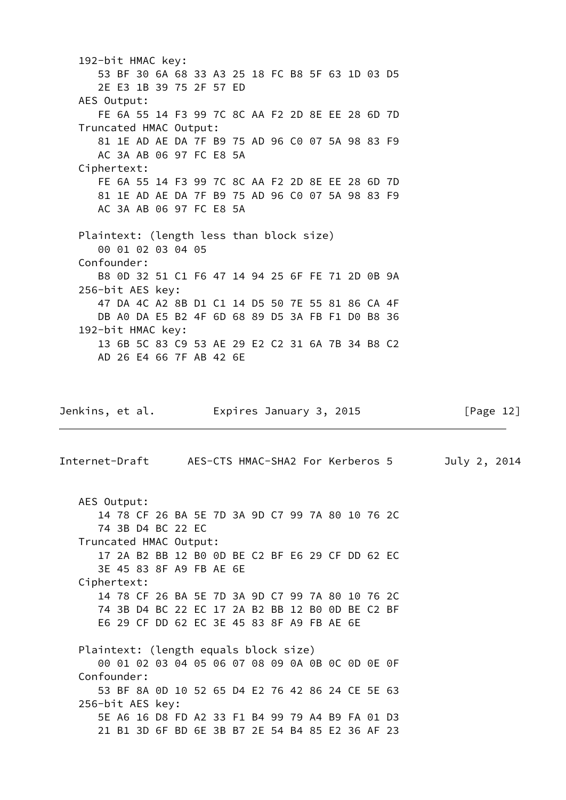192-bit HMAC key: 53 BF 30 6A 68 33 A3 25 18 FC B8 5F 63 1D 03 D5 2E E3 1B 39 75 2F 57 ED AES Output: FE 6A 55 14 F3 99 7C 8C AA F2 2D 8E EE 28 6D 7D Truncated HMAC Output: 81 1E AD AE DA 7F B9 75 AD 96 C0 07 5A 98 83 F9 AC 3A AB 06 97 FC E8 5A Ciphertext: FE 6A 55 14 F3 99 7C 8C AA F2 2D 8E EE 28 6D 7D 81 1E AD AE DA 7F B9 75 AD 96 C0 07 5A 98 83 F9 AC 3A AB 06 97 FC E8 5A Plaintext: (length less than block size) 00 01 02 03 04 05 Confounder: B8 0D 32 51 C1 F6 47 14 94 25 6F FE 71 2D 0B 9A 256-bit AES key: 47 DA 4C A2 8B D1 C1 14 D5 50 7E 55 81 86 CA 4F DB A0 DA E5 B2 4F 6D 68 89 D5 3A FB F1 D0 B8 36 192-bit HMAC key: 13 6B 5C 83 C9 53 AE 29 E2 C2 31 6A 7B 34 B8 C2 AD 26 E4 66 7F AB 42 6E Jenkins, et al. Expires January 3, 2015 [Page 12] Internet-Draft AES-CTS HMAC-SHA2 For Kerberos 5 July 2, 2014 AES Output: 14 78 CF 26 BA 5E 7D 3A 9D C7 99 7A 80 10 76 2C 74 3B D4 BC 22 EC Truncated HMAC Output: 17 2A B2 BB 12 B0 0D BE C2 BF E6 29 CF DD 62 EC 3E 45 83 8F A9 FB AE 6E Ciphertext: 14 78 CF 26 BA 5E 7D 3A 9D C7 99 7A 80 10 76 2C 74 3B D4 BC 22 EC 17 2A B2 BB 12 B0 0D BE C2 BF E6 29 CF DD 62 EC 3E 45 83 8F A9 FB AE 6E Plaintext: (length equals block size) 00 01 02 03 04 05 06 07 08 09 0A 0B 0C 0D 0E 0F Confounder: 53 BF 8A 0D 10 52 65 D4 E2 76 42 86 24 CE 5E 63 256-bit AES key: 5E A6 16 D8 FD A2 33 F1 B4 99 79 A4 B9 FA 01 D3 21 B1 3D 6F BD 6E 3B B7 2E 54 B4 85 E2 36 AF 23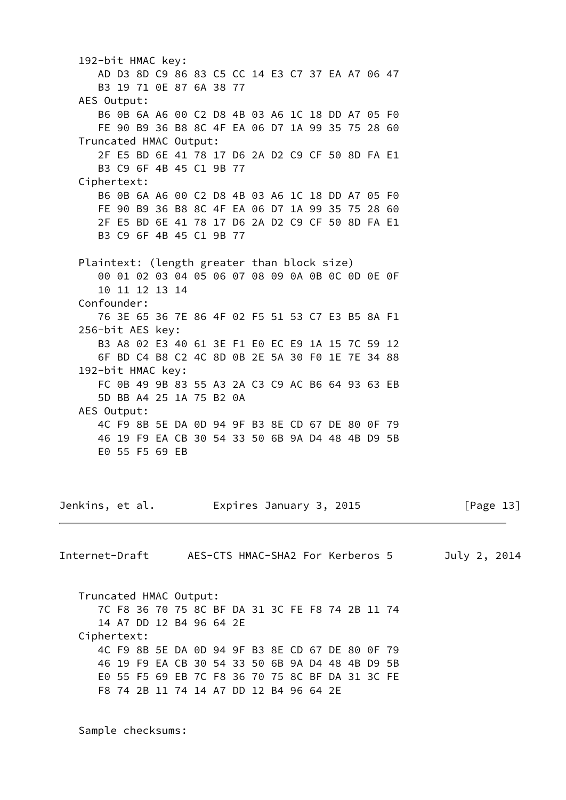192-bit HMAC key: AD D3 8D C9 86 83 C5 CC 14 E3 C7 37 EA A7 06 47 B3 19 71 0E 87 6A 38 77 AES Output: B6 0B 6A A6 00 C2 D8 4B 03 A6 1C 18 DD A7 05 F0 FE 90 B9 36 B8 8C 4F EA 06 D7 1A 99 35 75 28 60 Truncated HMAC Output: 2F E5 BD 6E 41 78 17 D6 2A D2 C9 CF 50 8D FA E1 B3 C9 6F 4B 45 C1 9B 77 Ciphertext: B6 0B 6A A6 00 C2 D8 4B 03 A6 1C 18 DD A7 05 F0 FE 90 B9 36 B8 8C 4F EA 06 D7 1A 99 35 75 28 60 2F E5 BD 6E 41 78 17 D6 2A D2 C9 CF 50 8D FA E1 B3 C9 6F 4B 45 C1 9B 77 Plaintext: (length greater than block size) 00 01 02 03 04 05 06 07 08 09 0A 0B 0C 0D 0E 0F 10 11 12 13 14 Confounder: 76 3E 65 36 7E 86 4F 02 F5 51 53 C7 E3 B5 8A F1 256-bit AES key: B3 A8 02 E3 40 61 3E F1 E0 EC E9 1A 15 7C 59 12 6F BD C4 B8 C2 4C 8D 0B 2E 5A 30 F0 1E 7E 34 88 192-bit HMAC key: FC 0B 49 9B 83 55 A3 2A C3 C9 AC B6 64 93 63 EB 5D BB A4 25 1A 75 B2 0A AES Output: 4C F9 8B 5E DA 0D 94 9F B3 8E CD 67 DE 80 0F 79 46 19 F9 EA CB 30 54 33 50 6B 9A D4 48 4B D9 5B E0 55 F5 69 EB Jenkins, et al. Expires January 3, 2015 [Page 13] Truncated HMAC Output: 7C F8 36 70 75 8C BF DA 31 3C FE F8 74 2B 11 74 14 A7 DD 12 B4 96 64 2E Ciphertext:

Internet-Draft AES-CTS HMAC-SHA2 For Kerberos 5 July 2, 2014

 4C F9 8B 5E DA 0D 94 9F B3 8E CD 67 DE 80 0F 79 46 19 F9 EA CB 30 54 33 50 6B 9A D4 48 4B D9 5B E0 55 F5 69 EB 7C F8 36 70 75 8C BF DA 31 3C FE F8 74 2B 11 74 14 A7 DD 12 B4 96 64 2E

Sample checksums: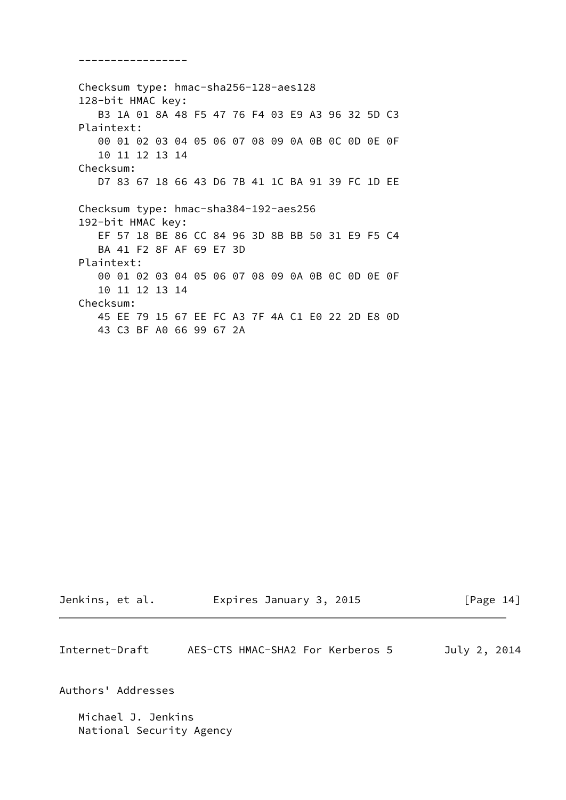Checksum type: hmac-sha256-128-aes128 128-bit HMAC key: B3 1A 01 8A 48 F5 47 76 F4 03 E9 A3 96 32 5D C3 Plaintext: 00 01 02 03 04 05 06 07 08 09 0A 0B 0C 0D 0E 0F 10 11 12 13 14 Checksum: D7 83 67 18 66 43 D6 7B 41 1C BA 91 39 FC 1D EE Checksum type: hmac-sha384-192-aes256 192-bit HMAC key: EF 57 18 BE 86 CC 84 96 3D 8B BB 50 31 E9 F5 C4 BA 41 F2 8F AF 69 E7 3D Plaintext: 00 01 02 03 04 05 06 07 08 09 0A 0B 0C 0D 0E 0F 10 11 12 13 14 Checksum: 45 EE 79 15 67 EE FC A3 7F 4A C1 E0 22 2D E8 0D 43 C3 BF A0 66 99 67 2A

-----------------

Jenkins, et al. Expires January 3, 2015 [Page 14]

<span id="page-15-0"></span>Internet-Draft AES-CTS HMAC-SHA2 For Kerberos 5 July 2, 2014

Authors' Addresses

 Michael J. Jenkins National Security Agency